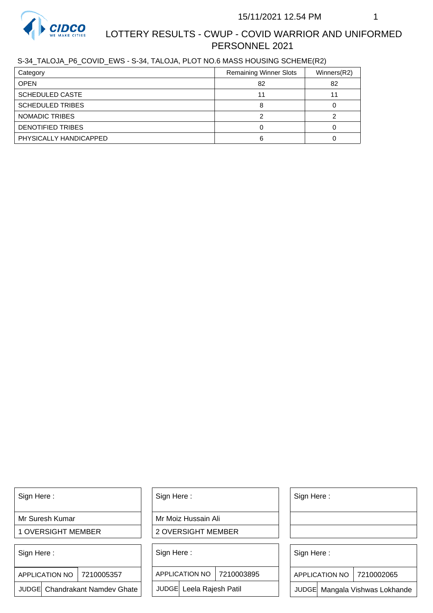

S-34\_TALOJA\_P6\_COVID\_EWS - S-34, TALOJA, PLOT NO.6 MASS HOUSING SCHEME(R2)

| Category                 | <b>Remaining Winner Slots</b> | Winners(R2) |
|--------------------------|-------------------------------|-------------|
| <b>OPEN</b>              | 82                            | 82          |
| <b>SCHEDULED CASTE</b>   |                               |             |
| <b>SCHEDULED TRIBES</b>  |                               |             |
| NOMADIC TRIBES           |                               |             |
| <b>DENOTIFIED TRIBES</b> |                               |             |
| PHYSICALLY HANDICAPPED   |                               |             |

Sign Here :

Mr Suresh Kumar

1 OVERSIGHT MEMBER

Sign Here :

7210005357 APPLICATION NO

JUDGE Chandrakant Namdev Ghate

Sign Here :

Mr Moiz Hussain Ali

2 OVERSIGHT MEMBER

Sign Here :

APPLICATION NO 7210003895

JUDGE Leela Rajesh Patil

Sign Here :

Sign Here :

APPLICATION NO | 7210002065

Chandrakant Namdev Ghate  $|\quad|$  JUDGE Leela Rajesh Patil  $|\quad|$  JUDGE Mangala Vishwas Lokhande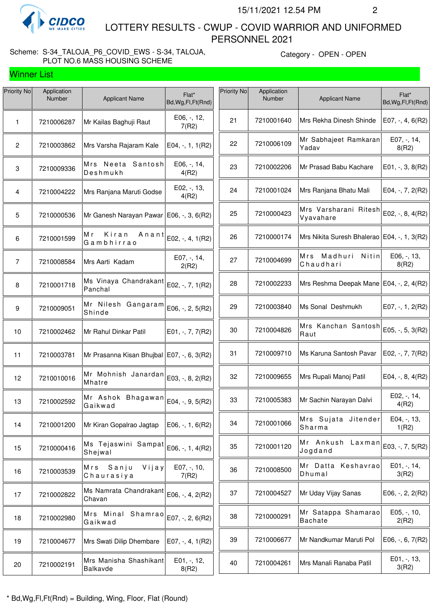

Winner List

 LOTTERY RESULTS - CWUP - COVID WARRIOR AND UNIFORMED PERSONNEL 2021

### Scheme: S-34\_TALOJA\_P6\_COVID\_EWS - S-34, TALOJA, PLOT NO.6 MASS HOUSING SCHEME

Category - OPEN - OPEN

| Priority No     | Application<br>Number | <b>Applicant Name</b>                        | Flat*<br>Bd, Wg, Fl, Ft (Rnd) | Priority No | Application<br>Number | <b>Applicant Name</b>                         | Flat*<br>Bd, Wg, Fl, Ft (Rnd) |
|-----------------|-----------------------|----------------------------------------------|-------------------------------|-------------|-----------------------|-----------------------------------------------|-------------------------------|
| 1               | 7210006287            | Mr Kailas Baghuji Raut                       | E06, -, 12,<br>7(R2)          | 21          | 7210001640            | Mrs Rekha Dinesh Shinde                       | E07, $-$ , $4$ , $6(R2)$      |
| $\overline{2}$  | 7210003862            | Mrs Varsha Rajaram Kale                      | $E04, -1, 1(R2)$              | 22          | 7210006109            | Mr Sabhajeet Ramkaran<br>Yadav                | E07, -, 14,<br>8(R2)          |
| 3               | 7210009336            | Mrs Neeta Santosh<br>Deshmukh                | E06, -, 14,<br>4(R2)          | 23          | 7210002206            | Mr Prasad Babu Kachare                        | $E01, -3, 8(R2)$              |
| 4               | 7210004222            | Mrs Ranjana Maruti Godse                     | E02, -, 13,<br>4(R2)          | 24          | 7210001024            | Mrs Ranjana Bhatu Mali                        | E04, $-$ , $7$ , $2(R2)$      |
| $5\phantom{.0}$ | 7210000536            | Mr Ganesh Narayan Pawar   E06, -, 3, 6(R2)   |                               | 25          | 7210000423            | Mrs Varsharani Ritesh<br>Vyavahare            | E02, -, 8, 4(R2)              |
| 6               | 7210001599            | Kiran<br>Anant<br>M r<br>Gambhirrao          | E02, -, 4, 1(R2)              | 26          | 7210000174            | Mrs Nikita Suresh Bhalerao   E04, -, 1, 3(R2) |                               |
| $\overline{7}$  | 7210008584            | Mrs Aarti Kadam                              | E07, -, 14,<br>2(R2)          | 27          | 7210004699            | Mrs Madhuri Nitin<br>Chaudhari                | E06, -, 13,<br>8(R2)          |
| 8               | 7210001718            | Ms Vinaya Chandrakant<br>Panchal             | E02, -, 7, 1(R2)              | 28          | 7210002233            | Mrs Reshma Deepak Mane   E04, -, 2, 4(R2)     |                               |
| 9               | 7210009051            | Mr Nilesh Gangaram<br>Shinde                 | E06, -, 2, 5(R2)              | 29          | 7210003840            | Ms Sonal Deshmukh                             | E07, $-$ , 1, 2(R2)           |
| 10              | 7210002462            | Mr Rahul Dinkar Patil                        | E01, $-$ , $7$ , $7$ (R2)     | 30          | 7210004826            | Mrs Kanchan Santosh<br>Raut                   | E05, -, 5, 3(R2)              |
| 11              | 7210003781            | Mr Prasanna Kisan Bhujbal   E07, -, 6, 3(R2) |                               | 31          | 7210009710            | Ms Karuna Santosh Pavar                       | E02, $-$ , $7$ , $7$ (R2)     |
| 12              | 7210010016            | Mr Mohnish Janardan<br>Mhatre                | E03, -, 8, 2(R2)              | 32          | 7210009655            | Mrs Rupali Manoj Patil                        | E04, $-$ , 8, 4(R2)           |
| 13              | 7210002592            | Mr Ashok Bhagawan<br>Gaikwad                 | E04, -, 9, 5(R2)              | 33          | 7210005383            | Mr Sachin Narayan Dalvi                       | E02, -, 14,<br>4(R2)          |
| 14              | 7210001200            | Mr Kiran Gopalrao Jagtap                     | $E06, -1, 6(R2)$              | 34          | 7210001066            | Mrs Sujata Jitender<br>Sharma                 | E04, -, 13,<br>1(R2)          |
| 15              | 7210000416            | Ms Tejaswini Sampat<br>Shejwal               | E06, -, 1, 4(R2)              | 35          | 7210001120            | Mr Ankush Laxman<br>Jogdand                   | E03, -, 7, 5(R2)              |
| 16              | 7210003539            | Mrs Sanju<br>Vijay<br>Chaurasiya             | E07, -, 10,<br>7(R2)          | 36          | 7210008500            | Mr Datta Keshavrao<br>Dhumal                  | E01, -, 14,<br>3(R2)          |
| 17              | 7210002822            | Ms Namrata Chandrakant<br>Chavan             | E06, -, 4, 2(R2)              | 37          | 7210004527            | Mr Uday Vijay Sanas                           | $E06, -2, 2(R2)$              |
| 18              | 7210002980            | Mrs Minal Shamrao<br>Gaikwad                 | $E07, -, 2, 6(R2)$            | 38          | 7210000291            | Mr Satappa Shamarao<br><b>Bachate</b>         | $E05, -10,$<br>2(R2)          |
| 19              | 7210004677            | Mrs Swati Dilip Dhembare                     | E07, $-$ , 4, 1(R2)           | 39          | 7210006677            | Mr Nandkumar Maruti Pol                       | E06, $-$ , 6, 7(R2)           |
| 20              | 7210002191            | Mrs Manisha Shashikant<br>Balkavde           | E01, -, 12,<br>8(R2)          | 40          | 7210004261            | Mrs Manali Ranaba Patil                       | E01, -, 13,<br>3(R2)          |
|                 |                       |                                              |                               |             |                       |                                               |                               |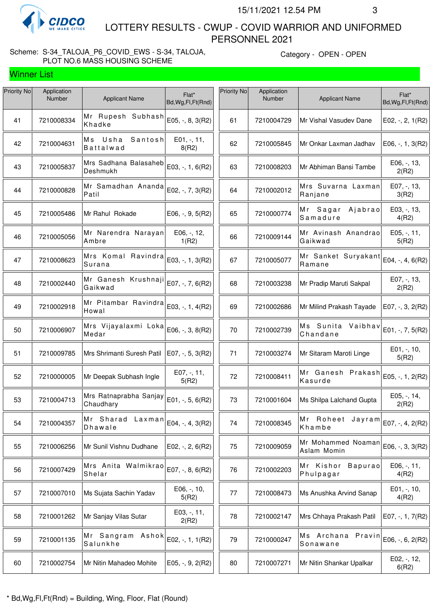

Winner List

 LOTTERY RESULTS - CWUP - COVID WARRIOR AND UNIFORMED PERSONNEL 2021

### Scheme: S-34\_TALOJA\_P6\_COVID\_EWS - S-34, TALOJA, PLOT NO.6 MASS HOUSING SCHEME

Category - OPEN - OPEN

| Priority No | Application<br>Number | <b>Applicant Name</b>                  | Flat*<br>Bd, Wg, Fl, Ft (Rnd) | Priority No | Application<br>Number | <b>Applicant Name</b>                           | Flat*<br>Bd, Wg, Fl, Ft (Rnd) |
|-------------|-----------------------|----------------------------------------|-------------------------------|-------------|-----------------------|-------------------------------------------------|-------------------------------|
| 41          | 7210008334            | Mr Rupesh Subhash<br>Khadke            | E05, -, 8, 3(R2)              | 61          | 7210004729            | Mr Vishal Vasudev Dane                          | E02, $-$ , 2, 1(R2)           |
| 42          | 7210004631            | Ms Usha<br>Santosh<br><b>Battalwad</b> | E01, -, 11,<br>8(R2)          | 62          | 7210005845            | Mr Onkar Laxman Jadhav                          | $E06, -1, 3(R2)$              |
| 43          | 7210005837            | Mrs Sadhana Balasaheb<br>Deshmukh      | E03, -, 1, 6(R2)              | 63          | 7210008203            | Mr Abhiman Bansi Tambe                          | E06, -, 13,<br>2(R2)          |
| 44          | 7210000828            | Mr Samadhan Ananda<br>Patil            | E02, -, 7, 3(R2)              | 64          | 7210002012            | Mrs Suvarna Laxman<br>Ranjane                   | E07, -, 13,<br>3(R2)          |
| 45          | 7210005486            | Mr Rahul Rokade                        | $E06, -, 9, 5(R2)$            | 65          | 7210000774            | Mr Sagar<br>Ajabrao<br>Samadure                 | E03, -, 13,<br>4(R2)          |
| 46          | 7210005056            | Mr Narendra Narayan<br>Ambre           | E06, -, 12,<br>1(R2)          | 66          | 7210009144            | Mr Avinash Anandrao<br>Gaikwad                  | E05, -, 11,<br>5(R2)          |
| 47          | 7210008623            | Mrs Komal Ravindra<br>Surana           | E03, -, 1, 3(R2)              | 67          | 7210005077            | Mr Sanket Suryakant<br>Ramane                   | E04, -, 4, 6(R2)              |
| 48          | 7210002440            | Mr Ganesh Krushnaji<br>Gaikwad         | E07, -, 7, 6(R2)              | 68          | 7210003238            | Mr Pradip Maruti Sakpal                         | E07, -, 13,<br>2(R2)          |
| 49          | 7210002918            | Mr Pitambar Ravindra<br>Howal          | E03, -, 1, 4(R2)              | 69          | 7210002686            | Mr Milind Prakash Tayade                        | E07, -, 3, 2(R2)              |
| 50          | 7210006907            | Mrs Vijayalaxmi Loka<br>Medar          | E06, -, 3, 8(R2)              | 70          | 7210002739            | Ms Sunita Vaibhav<br>Chandane                   | E01, -, 7, 5(R2)              |
| 51          | 7210009785            | Mrs Shrimanti Suresh Patil             | $E07, -, 5, 3(R2)$            | 71          | 7210003274            | Mr Sitaram Maroti Linge                         | $E01, -110,$<br>5(R2)         |
| 52          | 7210000005            | Mr Deepak Subhash Ingle                | E07, -, 11,<br>5(R2)          | 72          | 7210008411            | Mr Ganesh Prakash $ E05, -1, 2(R2) $<br>Kasurde |                               |
| 53          | 7210004713            | Mrs Ratnaprabha Sanjay<br>Chaudhary    | E01, -, 5, 6(R2)              | 73          | 7210001604            | Ms Shilpa Lalchand Gupta                        | E05, -, 14,<br>2(R2)          |
| 54          | 7210004357            | Mr Sharad<br>Laxman<br>Dhawale         | E04, -, 4, 3(R2)              | 74          | 7210008345            | Mr Roheet Jayram<br>Khambe                      | E07, -, 4, 2(R2)              |
| 55          | 7210006256            | Mr Sunil Vishnu Dudhane                | E02, $-$ , 2, 6(R2)           | 75          | 7210009059            | Mr Mohammed Noaman<br>Aslam Momin               | E06, -, 3, 3(R2)              |
| 56          | 7210007429            | Mrs Anita Walmikrao<br>Shelar          | E07, -, 8, 6(R2)              | 76          | 7210002203            | Mr Kishor<br>Bapurao<br>Phulpagar               | E06, -, 11,<br>4(R2)          |
| 57          | 7210007010            | Ms Sujata Sachin Yadav                 | E06, -, 10,<br>5(R2)          | 77          | 7210008473            | Ms Anushka Arvind Sanap                         | E01, -, 10,<br>4(R2)          |
| 58          | 7210001262            | Mr Sanjay Vilas Sutar                  | E03, -, 11,<br>2(R2)          | 78          | 7210002147            | Mrs Chhaya Prakash Patil                        | E07, $-$ , 1, 7(R2)           |
| 59          | 7210001135            | Mr Sangram Ashok<br>Salunkhe           | E02, -, 1, 1(R2)              | 79          | 7210000247            | Ms Archana Pravin<br>Sonawane                   | E06, -, 6, 2(R2)              |
| 60          | 7210002754            | Mr Nitin Mahadeo Mohite                | E05, $-$ , $9$ , $2(R2)$      | 80          | 7210007271            | Mr Nitin Shankar Upalkar                        | E02, -, 12,<br>6(R2)          |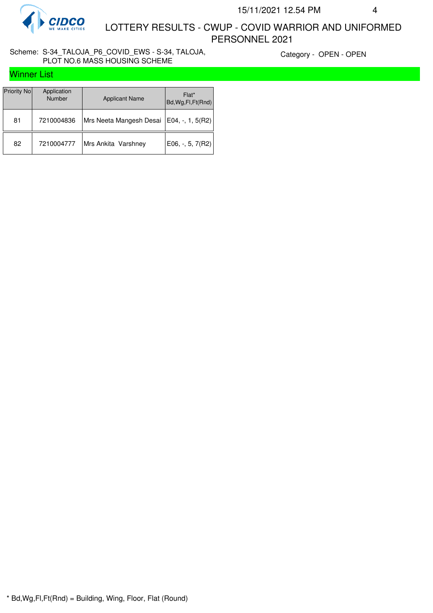

#### Scheme: S-34\_TALOJA\_P6\_COVID\_EWS - S-34, TALOJA, PLOT NO.6 MASS HOUSING SCHEME

Category - OPEN - OPEN

|  |  | <b>Winner List</b> |  |
|--|--|--------------------|--|
|--|--|--------------------|--|

| Priority No | Application<br><b>Number</b> | <b>Applicant Name</b>                      | Flat*<br>Bd, Wg, Fl, Ft(Rnd) |
|-------------|------------------------------|--------------------------------------------|------------------------------|
| 81          | 7210004836                   | Mrs Neeta Mangesh Desai   E04, -, 1, 5(R2) |                              |
| 82          | 7210004777                   | Mrs Ankita Varshney                        | E06, $-$ , 5, 7(R2)          |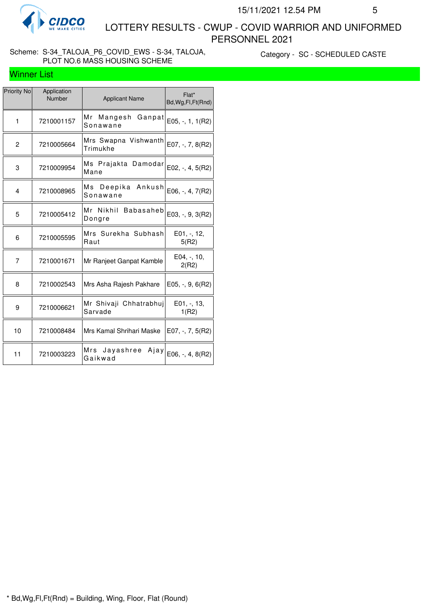

### Scheme: S-34\_TALOJA\_P6\_COVID\_EWS - S-34, TALOJA, PLOT NO.6 MASS HOUSING SCHEME

Category - SC - SCHEDULED CASTE

## Winner List

| <b>Priority No</b> | Application<br>Number | <b>Applicant Name</b>               | Flat*<br>Bd, Wg, Fl, Ft (Rnd) |
|--------------------|-----------------------|-------------------------------------|-------------------------------|
| $\mathbf{1}$       | 7210001157            | Mr<br>Mangesh<br>Ganpat<br>Sonawane | $E05, -1, 1(R2)$              |
| $\overline{c}$     | 7210005664            | Mrs Swapna Vishwanth<br>Trimukhe    | E07, $-$ , $7, 8(R2)$         |
| 3                  | 7210009954            | Ms Prajakta Damodar<br>Mane         | $E02, -, 4, 5(R2)$            |
| 4                  | 7210008965            | Ms Deepika Ankush<br>Sonawane       | E06, -, 4, 7(R2)              |
| 5                  | 7210005412            | Mr Nikhil Babasaheb<br>Dongre       | E03, -, 9, 3(R2)              |
| 6                  | 7210005595            | Mrs Surekha Subhash<br>Raut         | E01, -, 12,<br>5(R2)          |
| 7                  | 7210001671            | Mr Ranjeet Ganpat Kamble            | E04, -, 10,<br>2(R2)          |
| 8                  | 7210002543            | Mrs Asha Rajesh Pakhare             | $E05, -, 9, 6(R2)$            |
| 9                  | 7210006621            | Mr Shivaji Chhatrabhuj<br>Sarvade   | $E01, -13,$<br>1(R2)          |
| 10                 | 7210008484            | Mrs Kamal Shrihari Maske            | $E07, -7, 7, 5(R2)$           |
| 11                 | 7210003223            | Mrs Jayashree<br>Ajay<br>Gaikwad    | $E06, -, 4, 8(R2)$            |